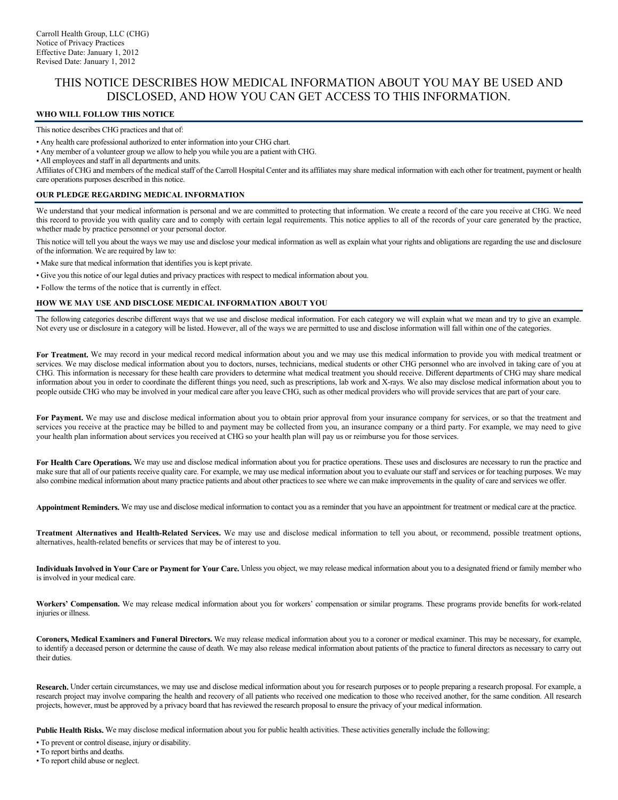# THIS NOTICE DESCRIBES HOW MEDICAL INFORMATION ABOUT YOU MAY BE USED AND DISCLOSED, AND HOW YOU CAN GET ACCESS TO THIS INFORMATION.

## **WHO WILL FOLLOW THIS NOTICE**

This notice describes CHG practices and that of:

• Any health care professional authorized to enter information into your CHG chart.

• Any member of a volunteer group we allow to help you while you are a patient with CHG.

• All employees and staff in all departments and units.

Affiliates of CHG and members of the medical staff of the Carroll Hospital Center and its affiliates may share medical information with each other for treatment, payment or health care operations purposes described in this notice.

## **OUR PLEDGE REGARDING MEDICAL INFORMATION**

We understand that your medical information is personal and we are committed to protecting that information. We create a record of the care you receive at CHG. We need this record to provide you with quality care and to comply with certain legal requirements. This notice applies to all of the records of your care generated by the practice, whether made by practice personnel or your personal doctor.

This notice will tell you about the ways we may use and disclose your medical information as well as explain what your rights and obligations are regarding the use and disclosure of the information. We are required by law to:

• Make sure that medical information that identifies you is kept private.

• Give you this notice of our legal duties and privacy practices with respect to medical information about you.

• Follow the terms of the notice that is currently in effect.

## **HOW WE MAY USE AND DISCLOSE MEDICAL INFORMATION ABOUT YOU**

The following categories describe different ways that we use and disclose medical information. For each category we will explain what we mean and try to give an example. Not every use or disclosure in a category will be listed. However, all of the ways we are permitted to use and disclose information will fall within one of the categories.

For Treatment. We may record in your medical record medical information about you and we may use this medical information to provide you with medical treatment or services. We may disclose medical information about you to doctors, nurses, technicians, medical students or other CHG personnel who are involved in taking care of you at CHG. This information is necessary for these health care providers to determine what medical treatment you should receive. Different departments of CHG may share medical information about you in order to coordinate the different things you need, such as prescriptions, lab work and X-rays. We also may disclose medical information about you to people outside CHG who may be involved in your medical care after you leave CHG, such as other medical providers who will provide services that are part of your care.

For Payment. We may use and disclose medical information about you to obtain prior approval from your insurance company for services, or so that the treatment and services you receive at the practice may be billed to and payment may be collected from you, an insurance company or a third party. For example, we may need to give your health plan information about services you received at CHG so your health plan will pay us or reimburse you for those services.

**For Health Care Operations.** We may use and disclose medical information about you for practice operations. These uses and disclosures are necessary to run the practice and make sure that all of our patients receive quality care. For example, we may use medical information about you to evaluate our staff and services or for teaching purposes. We may also combine medical information about many practice patients and about other practices to see where we can make improvements in the quality of care and services we offer.

**Appointment Reminders.** We may use and disclose medical information to contact you as a reminder that you have an appointment for treatment or medical care at the practice.

**Treatment Alternatives and Health-Related Services.** We may use and disclose medical information to tell you about, or recommend, possible treatment options, alternatives, health-related benefits or services that may be of interest to you.

**Individuals Involved in Your Care or Payment for Your Care.** Unless you object, we may release medical information about you to a designated friend or family member who is involved in your medical care.

**Workers' Compensation.** We may release medical information about you for workers' compensation or similar programs. These programs provide benefits for work-related injuries or illness.

**Coroners, Medical Examiners and Funeral Directors.** We may release medical information about you to a coroner or medical examiner. This may be necessary, for example, to identify a deceased person or determine the cause of death. We may also release medical information about patients of the practice to funeral directors as necessary to carry out their duties.

**Research.** Under certain circumstances, we may use and disclose medical information about you for research purposes or to people preparing a research proposal. For example, a research project may involve comparing the health and recovery of all patients who received one medication to those who received another, for the same condition. All research projects, however, must be approved by a privacy board that has reviewed the research proposal to ensure the privacy of your medical information.

**Public Health Risks.** We may disclose medical information about you for public health activities. These activities generally include the following:

• To prevent or control disease, injury or disability.

• To report births and deaths.

• To report child abuse or neglect.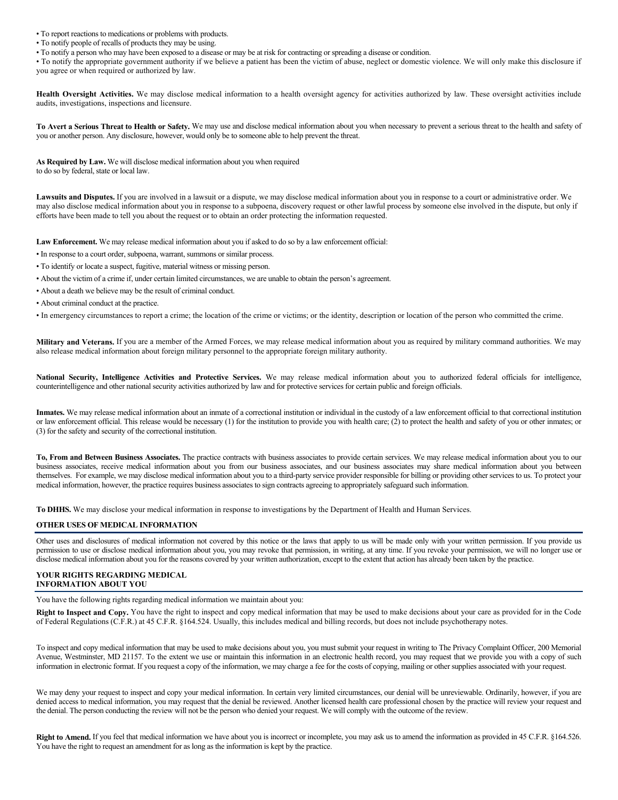• To report reactions to medications or problems with products.

- To notify people of recalls of products they may be using.
- To notify a person who may have been exposed to a disease or may be at risk for contracting or spreading a disease or condition.

• To notify the appropriate government authority if we believe a patient has been the victim of abuse, neglect or domestic violence. We will only make this disclosure if you agree or when required or authorized by law.

Health Oversight Activities. We may disclose medical information to a health oversight agency for activities authorized by law. These oversight activities include audits, investigations, inspections and licensure.

**To Avert a Serious Threat to Health or Safety.** We may use and disclose medical information about you when necessary to prevent a serious threat to the health and safety of you or another person. Any disclosure, however, would only be to someone able to help prevent the threat.

#### **As Required by Law.** We will disclose medical information about you when required to do so by federal, state or local law.

**Lawsuits and Disputes.** If you are involved in a lawsuit or a dispute, we may disclose medical information about you in response to a court or administrative order. We may also disclose medical information about you in response to a subpoena, discovery request or other lawful process by someone else involved in the dispute, but only if efforts have been made to tell you about the request or to obtain an order protecting the information requested.

**Law Enforcement.** We may release medical information about you if asked to do so by a law enforcement official:

- In response to a court order, subpoena, warrant, summons or similar process.
- To identify or locate a suspect, fugitive, material witness or missing person.
- About the victim of a crime if, under certain limited circumstances, we are unable to obtain the person's agreement.
- About a death we believe may be the result of criminal conduct.
- About criminal conduct at the practice.
- In emergency circumstances to report a crime; the location of the crime or victims; or the identity, description or location of the person who committed the crime.

**Military and Veterans.** If you are a member of the Armed Forces, we may release medical information about you as required by military command authorities. We may also release medical information about foreign military personnel to the appropriate foreign military authority.

**National Security, Intelligence Activities and Protective Services.** We may release medical information about you to authorized federal officials for intelligence, counterintelligence and other national security activities authorized by law and for protective services for certain public and foreign officials.

**Inmates.** We may release medical information about an inmate of a correctional institution or individual in the custody of a law enforcement official to that correctional institution or law enforcement official. This release would be necessary (1) for the institution to provide you with health care; (2) to protect the health and safety of you or other inmates; or (3) for the safety and security of the correctional institution.

**To, From and Between Business Associates.** The practice contracts with business associates to provide certain services. We may release medical information about you to our business associates, receive medical information about you from our business associates, and our business associates may share medical information about you between themselves. For example, we may disclose medical information about you to a third-party service provider responsible for billing or providing other services to us. To protect your medical information, however, the practice requires business associates to sign contracts agreeing to appropriately safeguard such information.

**To DHHS.** We may disclose your medical information in response to investigations by the Department of Health and Human Services.

## **OTHER USES OF MEDICAL INFORMATION**

Other uses and disclosures of medical information not covered by this notice or the laws that apply to us will be made only with your written permission. If you provide us permission to use or disclose medical information about you, you may revoke that permission, in writing, at any time. If you revoke your permission, we will no longer use or disclose medical information about you for the reasons covered by your written authorization, except to the extent that action has already been taken by the practice.

## **YOUR RIGHTS REGARDING MEDICAL INFORMATION ABOUT YOU**

You have the following rights regarding medical information we maintain about you:

**Right to Inspect and Copy.** You have the right to inspect and copy medical information that may be used to make decisions about your care as provided for in the Code of Federal Regulations (C.F.R.) at 45 C.F.R. §164.524. Usually, this includes medical and billing records, but does not include psychotherapy notes.

To inspect and copy medical information that may be used to make decisions about you, you must submit your request in writing to The Privacy Complaint Officer, 200 Memorial Avenue, Westminster, MD 21157. To the extent we use or maintain this information in an electronic health record, you may request that we provide you with a copy of such information in electronic format. If you request a copy of the information, we may charge a fee for the costs of copying, mailing or other supplies associated with your request.

We may deny your request to inspect and copy your medical information. In certain very limited circumstances, our denial will be unreviewable. Ordinarily, however, if you are denied access to medical information, you may request that the denial be reviewed. Another licensed health care professional chosen by the practice will review your request and the denial. The person conducting the review will not be the person who denied your request. We will comply with the outcome of the review.

**Right to Amend.** If you feel that medical information we have about you is incorrect or incomplete, you may ask us to amend the information as provided in 45 C.F.R. §164.526. You have the right to request an amendment for as long as the information is kept by the practice.